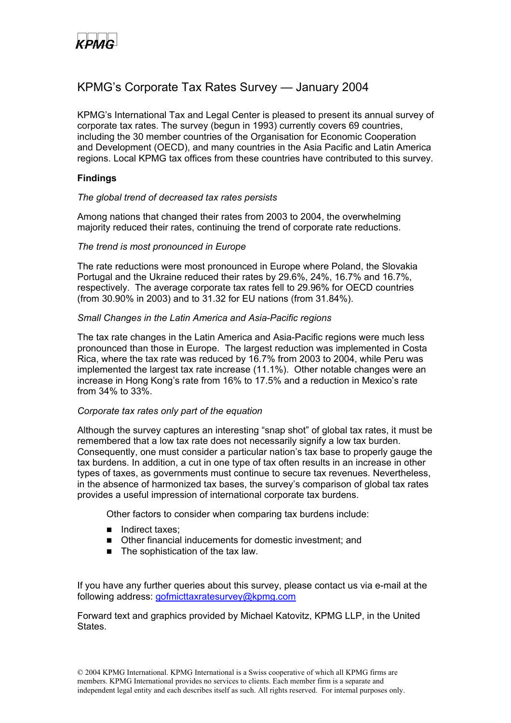

## KPMG's Corporate Tax Rates Survey — January 2004

KPMG's International Tax and Legal Center is pleased to present its annual survey of corporate tax rates. The survey (begun in 1993) currently covers 69 countries, including the 30 member countries of the Organisation for Economic Cooperation and Development (OECD), and many countries in the Asia Pacific and Latin America regions. Local KPMG tax offices from these countries have contributed to this survey.

### **Findings**

#### *The global trend of decreased tax rates persists*

Among nations that changed their rates from 2003 to 2004, the overwhelming majority reduced their rates, continuing the trend of corporate rate reductions.

#### *The trend is most pronounced in Europe*

The rate reductions were most pronounced in Europe where Poland, the Slovakia Portugal and the Ukraine reduced their rates by 29.6%, 24%, 16.7% and 16.7%, respectively. The average corporate tax rates fell to 29.96% for OECD countries (from 30.90% in 2003) and to 31.32 for EU nations (from 31.84%).

#### *Small Changes in the Latin America and Asia-Pacific regions*

The tax rate changes in the Latin America and Asia-Pacific regions were much less pronounced than those in Europe. The largest reduction was implemented in Costa Rica, where the tax rate was reduced by 16.7% from 2003 to 2004, while Peru was implemented the largest tax rate increase (11.1%). Other notable changes were an increase in Hong Kong's rate from 16% to 17.5% and a reduction in Mexico's rate from 34% to 33%.

#### *Corporate tax rates only part of the equation*

Although the survey captures an interesting "snap shot" of global tax rates, it must be remembered that a low tax rate does not necessarily signify a low tax burden. Consequently, one must consider a particular nation's tax base to properly gauge the tax burdens. In addition, a cut in one type of tax often results in an increase in other types of taxes, as governments must continue to secure tax revenues. Nevertheless, in the absence of harmonized tax bases, the survey's comparison of global tax rates provides a useful impression of international corporate tax burdens.

Other factors to consider when comparing tax burdens include:

- Indirect taxes;
- Other financial inducements for domestic investment; and
- $\blacksquare$  The sophistication of the tax law.

If you have any further queries about this survey, please contact us via e-mail at the following address: [gofmicttaxratesurvey@kpmg.com](mailto:gofmicttaxratesurvey@kpmg.com)

Forward text and graphics provided by Michael Katovitz, KPMG LLP, in the United **States**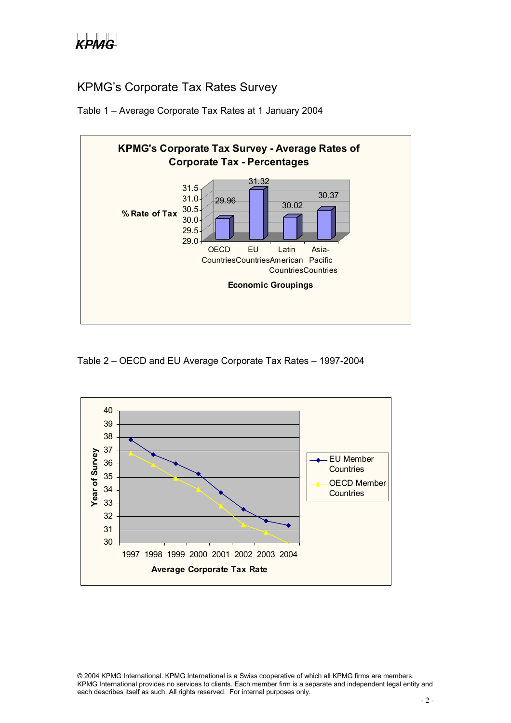

## KPMG's Corporate Tax Rates Survey





Table 2 – OECD and EU Average Corporate Tax Rates – 1997-2004

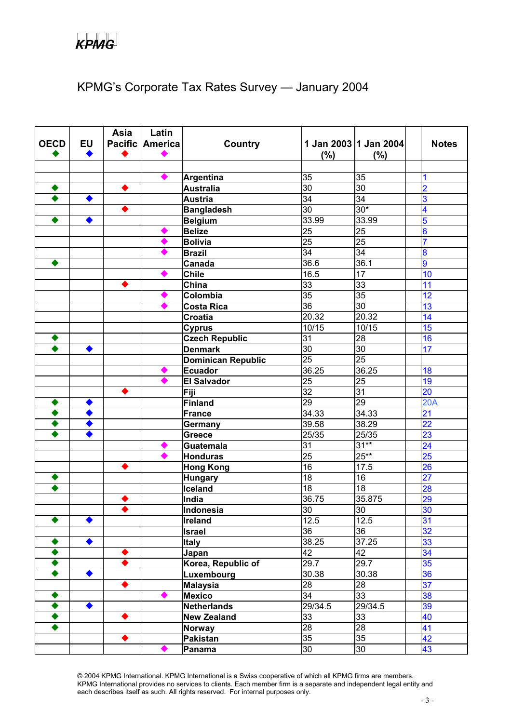# KPMG's Corporate Tax Rates Survey — January 2004

|             |           | Asia | Latin           |                           |                   |                       |                 |              |
|-------------|-----------|------|-----------------|---------------------------|-------------------|-----------------------|-----------------|--------------|
| <b>OECD</b> | <b>EU</b> |      | Pacific America | Country                   |                   | 1 Jan 2003 1 Jan 2004 |                 | <b>Notes</b> |
|             |           |      |                 |                           | (%)               | $(\%)$                |                 |              |
|             |           |      |                 |                           |                   |                       |                 |              |
|             |           |      |                 | Argentina                 | 35                | 35                    |                 |              |
|             |           |      |                 | <b>Australia</b>          | $\overline{30}$   | 30                    | 2               |              |
|             |           |      |                 | <b>Austria</b>            | 34                | 34                    | 3               |              |
|             |           |      |                 | <b>Bangladesh</b>         | $\overline{30}$   | $30*$                 | 4               |              |
|             | ◆         |      |                 | <b>Belgium</b>            | 33.99             | 33.99                 | 5               |              |
|             |           |      |                 | <b>Belize</b>             | $\overline{25}$   | 25                    | 6               |              |
|             |           |      |                 | <b>Bolivia</b>            | $\overline{25}$   | 25                    | $\overline{7}$  |              |
|             |           |      |                 | <b>Brazil</b>             | $\overline{34}$   | $\overline{34}$       | 8               |              |
|             |           |      |                 | Canada                    | 36.6              | 36.1                  | $\overline{9}$  |              |
|             |           |      |                 | <b>Chile</b>              | 16.5              | $\overline{17}$       | 10              |              |
|             |           |      |                 | China                     | $\overline{33}$   | 33                    | 11              |              |
|             |           |      |                 | Colombia                  | $\overline{35}$   | 35                    | 12              |              |
|             |           |      |                 | <b>Costa Rica</b>         | $\overline{36}$   | $\overline{30}$       | 13              |              |
|             |           |      |                 | <b>Croatia</b>            | 20.32             | 20.32                 | 14              |              |
|             |           |      |                 | <b>Cyprus</b>             | 10/15             | 10/15                 | 15              |              |
|             |           |      |                 | <b>Czech Republic</b>     | $\overline{31}$   | 28                    | 16              |              |
|             |           |      |                 | <b>Denmark</b>            | $\overline{30}$   | 30                    | 17              |              |
|             |           |      |                 | <b>Dominican Republic</b> | $\overline{25}$   | $\overline{25}$       |                 |              |
|             |           |      |                 | <b>Ecuador</b>            | 36.25             | 36.25                 | 18              |              |
|             |           |      |                 | <b>El Salvador</b>        | $\overline{25}$   | 25                    | 19              |              |
|             |           |      |                 | Fiji                      | $\overline{32}$   | 31                    | 20              |              |
|             |           |      |                 | <b>Finland</b>            | $\overline{29}$   | 29                    | 20A             |              |
|             |           |      |                 | France                    | 34.33             | 34.33                 | $\overline{21}$ |              |
|             |           |      |                 | Germany                   | 39.58             | 38.29                 | 22              |              |
|             |           |      |                 | <b>Greece</b>             | 25/35             | 25/35                 | 23              |              |
|             |           |      |                 | <b>Guatemala</b>          | 31                | $31**$                | $\overline{24}$ |              |
|             |           |      |                 | <b>Honduras</b>           | $\overline{25}$   | $25**$                | 25              |              |
|             |           |      |                 | <b>Hong Kong</b>          | $\overline{16}$   | 17.5                  | 26              |              |
|             |           |      |                 | <b>Hungary</b>            | $\overline{18}$   | 16                    | $\overline{27}$ |              |
|             |           |      |                 | Iceland                   | $\overline{18}$   | 18                    | 28              |              |
|             |           |      |                 | India                     | 36.75             | 35.875                | 29              |              |
|             |           |      |                 | Indonesia                 | 30                | $\overline{30}$       | 30              |              |
|             |           |      |                 | Ireland                   | $\overline{12.5}$ | 12.5                  | 31              |              |
|             |           |      |                 | <b>Israel</b>             | 36                | 36                    | 32              |              |
|             |           |      |                 | <b>Italy</b>              | 38.25             | 37.25                 | 33              |              |
|             |           |      |                 | Japan                     | $\overline{42}$   | 42                    | 34              |              |
|             |           |      |                 | Korea, Republic of        | 29.7              | 29.7                  | 35              |              |
|             |           |      |                 | Luxembourg                | 30.38             | 30.38                 | 36              |              |
|             |           |      |                 | <b>Malaysia</b>           | $\overline{28}$   | 28                    | $\overline{37}$ |              |
|             |           |      |                 | <b>Mexico</b>             | 34                | 33                    | 38              |              |
|             | ◆         |      |                 | <b>Netherlands</b>        | 29/34.5           | 29/34.5               | 39              |              |
|             |           |      |                 | <b>New Zealand</b>        | 33                | 33                    | 40              |              |
|             |           |      |                 | <b>Norway</b>             | $\overline{28}$   | 28                    | 41              |              |
|             |           |      |                 | Pakistan                  | $\overline{35}$   | 35                    | 42              |              |
|             |           |      |                 | Panama                    | 30                | 30                    | 43              |              |

© 2004 KPMG International. KPMG International is a Swiss cooperative of which all KPMG firms are members. KPMG International provides no services to clients. Each member firm is a separate and independent legal entity and each describes itself as such. All rights reserved. For internal purposes only.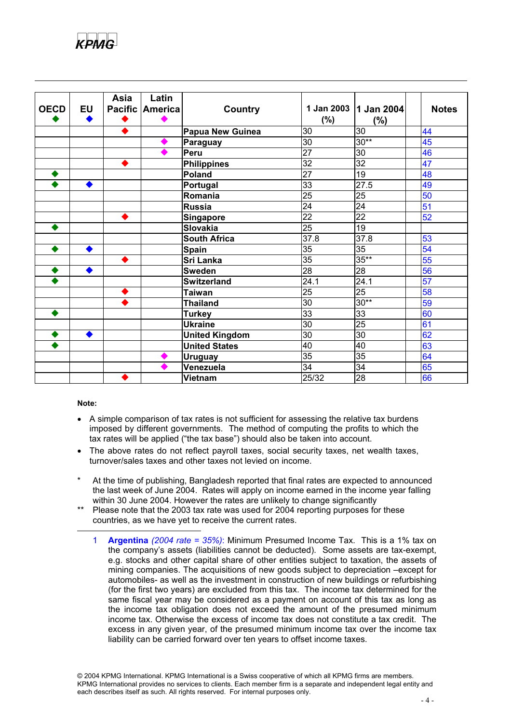

| <b>OECD</b> | <b>EU</b> | <b>Asia</b> | Latin<br>Pacific America | <b>Country</b>        | (%)             | 1 Jan 2003   1 Jan 2004<br>(%) | <b>Notes</b>    |
|-------------|-----------|-------------|--------------------------|-----------------------|-----------------|--------------------------------|-----------------|
|             |           |             |                          | Papua New Guinea      | 30              | 30                             | 44              |
|             |           |             |                          | <b>Paraguay</b>       | $\overline{30}$ | $30**$                         | 45              |
|             |           |             |                          | Peru                  | $\overline{27}$ | $\overline{30}$                | 46              |
|             |           | ◆           |                          | <b>Philippines</b>    | 32              | 32                             | 47              |
|             |           |             |                          | Poland                | $\overline{27}$ | 19                             | 48              |
|             |           |             |                          | <b>Portugal</b>       | 33              | 27.5                           | 49              |
|             |           |             |                          | Romania               | 25              | 25                             | 50              |
|             |           |             |                          | <b>Russia</b>         | 24              | 24                             | 51              |
|             |           |             |                          | <b>Singapore</b>      | $\overline{22}$ | 22                             | 52              |
|             |           |             |                          | Slovakia              | $\overline{25}$ | 19                             |                 |
|             |           |             |                          | <b>South Africa</b>   | 37.8            | 37.8                           | 53              |
|             |           |             |                          | <b>Spain</b>          | 35              | $\overline{35}$                | 54              |
|             |           | ◆           |                          | <b>Sri Lanka</b>      | $\overline{35}$ | $35**$                         | 55              |
|             |           |             |                          | <b>Sweden</b>         | 28              | 28                             | 56              |
|             |           |             |                          | <b>Switzerland</b>    | 24.1            | 24.1                           | 57              |
|             |           |             |                          | <b>Taiwan</b>         | $\overline{25}$ | 25                             | 58              |
|             |           |             |                          | <b>Thailand</b>       | 30              | $30**$                         | 59              |
|             |           |             |                          | <b>Turkey</b>         | $\overline{33}$ | $\overline{33}$                | $\overline{60}$ |
|             |           |             |                          | <b>Ukraine</b>        | 30              | 25                             | 61              |
|             |           |             |                          | <b>United Kingdom</b> | 30              | 30                             | 62              |
|             |           |             |                          | <b>United States</b>  | 40              | 40                             | 63              |
|             |           |             |                          | <b>Uruguay</b>        | 35              | $\overline{35}$                | 64              |
|             |           |             |                          | Venezuela             | 34              | 34                             | 65              |
|             |           |             |                          | <b>Vietnam</b>        | 25/32           | 28                             | 66              |

#### **Note:**

- A simple comparison of tax rates is not sufficient for assessing the relative tax burdens imposed by different governments. The method of computing the profits to which the tax rates will be applied ("the tax base") should also be taken into account.
- The above rates do not reflect payroll taxes, social security taxes, net wealth taxes, turnover/sales taxes and other taxes not levied on income.
- At the time of publishing, Bangladesh reported that final rates are expected to announced the last week of June 2004. Rates will apply on income earned in the income year falling within 30 June 2004. However the rates are unlikely to change significantly
- Please note that the 2003 tax rate was used for 2004 reporting purposes for these countries, as we have yet to receive the current rates.
	- 1 **Argentina** *(2004 rate = 35%)*: Minimum Presumed Income Tax. This is a 1% tax on the company's assets (liabilities cannot be deducted). Some assets are tax-exempt, e.g. stocks and other capital share of other entities subject to taxation, the assets of mining companies. The acquisitions of new goods subject to depreciation –except for automobiles- as well as the investment in construction of new buildings or refurbishing (for the first two years) are excluded from this tax. The income tax determined for the same fiscal year may be considered as a payment on account of this tax as long as the income tax obligation does not exceed the amount of the presumed minimum income tax. Otherwise the excess of income tax does not constitute a tax credit. The excess in any given year, of the presumed minimum income tax over the income tax liability can be carried forward over ten years to offset income taxes.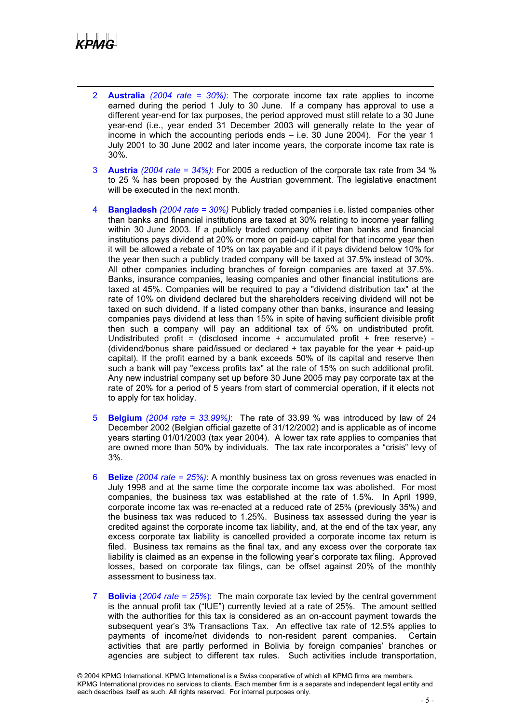

- 2 **Australia** *(2004 rate = 30%)*: The corporate income tax rate applies to income earned during the period 1 July to 30 June. If a company has approval to use a different year-end for tax purposes, the period approved must still relate to a 30 June year-end (i.e., year ended 31 December 2003 will generally relate to the year of income in which the accounting periods ends – i.e. 30 June 2004). For the year 1 July 2001 to 30 June 2002 and later income years, the corporate income tax rate is 30%.
- 3 **Austria** *(2004 rate = 34%)*: For 2005 a reduction of the corporate tax rate from 34 % to 25 % has been proposed by the Austrian government. The legislative enactment will be executed in the next month.
- 4 **Bangladesh** *(2004 rate = 30%)* Publicly traded companies i.e. listed companies other than banks and financial institutions are taxed at 30% relating to income year falling within 30 June 2003. If a publicly traded company other than banks and financial institutions pays dividend at 20% or more on paid-up capital for that income year then it will be allowed a rebate of 10% on tax payable and if it pays dividend below 10% for the year then such a publicly traded company will be taxed at 37.5% instead of 30%. All other companies including branches of foreign companies are taxed at 37.5%. Banks, insurance companies, leasing companies and other financial institutions are taxed at 45%. Companies will be required to pay a "dividend distribution tax" at the rate of 10% on dividend declared but the shareholders receiving dividend will not be taxed on such dividend. If a listed company other than banks, insurance and leasing companies pays dividend at less than 15% in spite of having sufficient divisible profit then such a company will pay an additional tax of 5% on undistributed profit. Undistributed profit = (disclosed income + accumulated profit + free reserve) - (dividend/bonus share paid/issued or declared + tax payable for the year + paid-up capital). If the profit earned by a bank exceeds 50% of its capital and reserve then such a bank will pay "excess profits tax" at the rate of 15% on such additional profit. Any new industrial company set up before 30 June 2005 may pay corporate tax at the rate of 20% for a period of 5 years from start of commercial operation, if it elects not to apply for tax holiday.
- 5 **Belgium** *(2004 rate = 33.99%)*: The rate of 33.99 % was introduced by law of 24 December 2002 (Belgian official gazette of 31/12/2002) and is applicable as of income years starting 01/01/2003 (tax year 2004). A lower tax rate applies to companies that are owned more than 50% by individuals. The tax rate incorporates a "crisis" levy of 3%.
- 6 **Belize** *(2004 rate = 25%)*: A monthly business tax on gross revenues was enacted in July 1998 and at the same time the corporate income tax was abolished. For most companies, the business tax was established at the rate of 1.5%. In April 1999, corporate income tax was re-enacted at a reduced rate of 25% (previously 35%) and the business tax was reduced to 1.25%. Business tax assessed during the year is credited against the corporate income tax liability, and, at the end of the tax year, any excess corporate tax liability is cancelled provided a corporate income tax return is filed. Business tax remains as the final tax, and any excess over the corporate tax liability is claimed as an expense in the following year's corporate tax filing. Approved losses, based on corporate tax filings, can be offset against 20% of the monthly assessment to business tax.
- 7 **Bolivia** (*2004 rate = 25%*): The main corporate tax levied by the central government is the annual profit tax ("IUE") currently levied at a rate of 25%. The amount settled with the authorities for this tax is considered as an on-account payment towards the subsequent year's 3% Transactions Tax. An effective tax rate of 12.5% applies to payments of income/net dividends to non-resident parent companies. Certain activities that are partly performed in Bolivia by foreign companies' branches or agencies are subject to different tax rules. Such activities include transportation,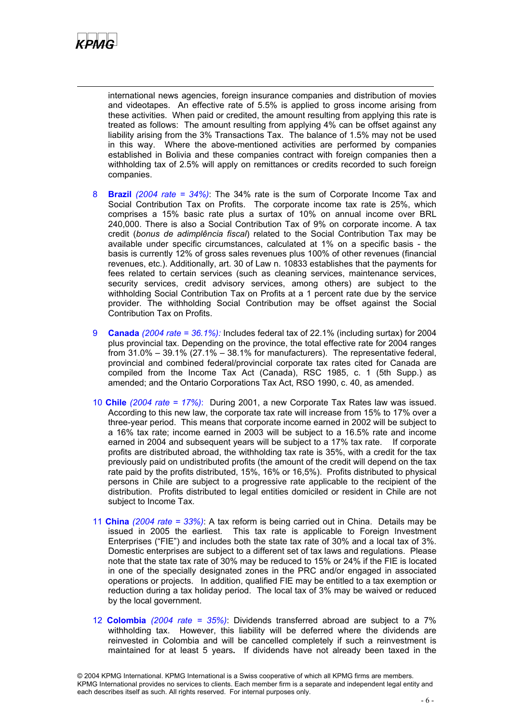

international news agencies, foreign insurance companies and distribution of movies and videotapes. An effective rate of 5.5% is applied to gross income arising from these activities. When paid or credited, the amount resulting from applying this rate is treated as follows: The amount resulting from applying 4% can be offset against any liability arising from the 3% Transactions Tax. The balance of 1.5% may not be used in this way. Where the above-mentioned activities are performed by companies established in Bolivia and these companies contract with foreign companies then a withholding tax of 2.5% will apply on remittances or credits recorded to such foreign companies.

- 8 **Brazil** *(2004 rate = 34%)*: The 34% rate is the sum of Corporate Income Tax and Social Contribution Tax on Profits. The corporate income tax rate is 25%, which comprises a 15% basic rate plus a surtax of 10% on annual income over BRL 240,000. There is also a Social Contribution Tax of 9% on corporate income. A tax credit (*bonus de adimplência fiscal*) related to the Social Contribution Tax may be available under specific circumstances, calculated at 1% on a specific basis - the basis is currently 12% of gross sales revenues plus 100% of other revenues (financial revenues, etc.). Additionally, art. 30 of Law n. 10833 establishes that the payments for fees related to certain services (such as cleaning services, maintenance services, security services, credit advisory services, among others) are subject to the withholding Social Contribution Tax on Profits at a 1 percent rate due by the service provider. The withholding Social Contribution may be offset against the Social Contribution Tax on Profits.
- 9 **Canada** *(2004 rate = 36.1%):* Includes federal tax of 22.1% (including surtax) for 2004 plus provincial tax. Depending on the province, the total effective rate for 2004 ranges from 31.0% – 39.1% (27.1% – 38.1% for manufacturers). The representative federal, provincial and combined federal/provincial corporate tax rates cited for Canada are compiled from the Income Tax Act (Canada), RSC 1985, c. 1 (5th Supp.) as amended; and the Ontario Corporations Tax Act, RSO 1990, c. 40, as amended.
- 10 **Chile** *(2004 rate = 17%)*: During 2001, a new Corporate Tax Rates law was issued. According to this new law, the corporate tax rate will increase from 15% to 17% over a three-year period. This means that corporate income earned in 2002 will be subject to a 16% tax rate; income earned in 2003 will be subject to a 16.5% rate and income earned in 2004 and subsequent years will be subject to a 17% tax rate. If corporate profits are distributed abroad, the withholding tax rate is 35%, with a credit for the tax previously paid on undistributed profits (the amount of the credit will depend on the tax rate paid by the profits distributed, 15%, 16% or 16,5%). Profits distributed to physical persons in Chile are subject to a progressive rate applicable to the recipient of the distribution. Profits distributed to legal entities domiciled or resident in Chile are not subject to Income Tax.
- 11 **China** *(2004 rate = 33%)*: A tax reform is being carried out in China. Details may be issued in 2005 the earliest. This tax rate is applicable to Foreign Investment Enterprises ("FIE") and includes both the state tax rate of 30% and a local tax of 3%. Domestic enterprises are subject to a different set of tax laws and regulations. Please note that the state tax rate of 30% may be reduced to 15% or 24% if the FIE is located in one of the specially designated zones in the PRC and/or engaged in associated operations or projects. In addition, qualified FIE may be entitled to a tax exemption or reduction during a tax holiday period. The local tax of 3% may be waived or reduced by the local government.
- 12 **Colombia** *(2004 rate = 35%)*: Dividends transferred abroad are subject to a 7% withholding tax. However, this liability will be deferred where the dividends are reinvested in Colombia and will be cancelled completely if such a reinvestment is maintained for at least 5 years**.** If dividends have not already been taxed in the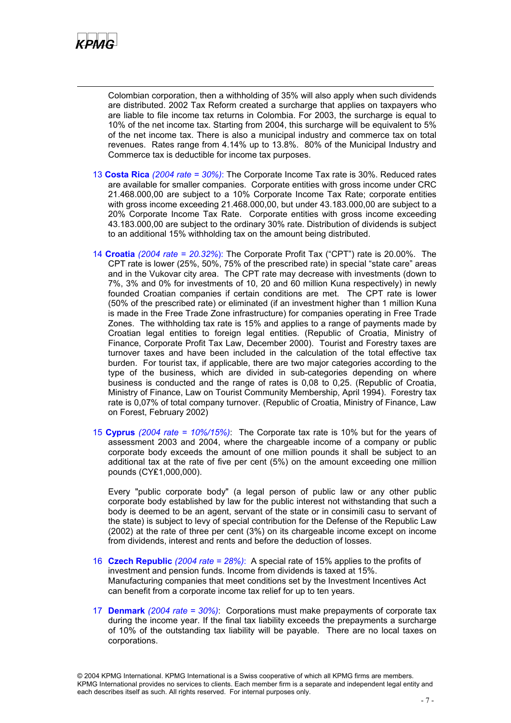

Colombian corporation, then a withholding of 35% will also apply when such dividends are distributed. 2002 Tax Reform created a surcharge that applies on taxpayers who are liable to file income tax returns in Colombia. For 2003, the surcharge is equal to 10% of the net income tax. Starting from 2004, this surcharge will be equivalent to 5% of the net income tax. There is also a municipal industry and commerce tax on total revenues. Rates range from 4.14% up to 13.8%. 80% of the Municipal Industry and Commerce tax is deductible for income tax purposes.

- 13 **Costa Rica** *(2004 rate = 30%)*: The Corporate Income Tax rate is 30%. Reduced rates are available for smaller companies. Corporate entities with gross income under CRC 21.468.000,00 are subject to a 10% Corporate Income Tax Rate; corporate entities with gross income exceeding 21.468.000,00, but under 43.183.000,00 are subject to a 20% Corporate Income Tax Rate. Corporate entities with gross income exceeding 43.183.000,00 are subject to the ordinary 30% rate. Distribution of dividends is subject to an additional 15% withholding tax on the amount being distributed.
- 14 **Croatia** *(2004 rate = 20.32%*): The Corporate Profit Tax ("CPT") rate is 20.00%. The CPT rate is lower (25%, 50%, 75% of the prescribed rate) in special "state care" areas and in the Vukovar city area. The CPT rate may decrease with investments (down to 7%, 3% and 0% for investments of 10, 20 and 60 million Kuna respectively) in newly founded Croatian companies if certain conditions are met. The CPT rate is lower (50% of the prescribed rate) or eliminated (if an investment higher than 1 million Kuna is made in the Free Trade Zone infrastructure) for companies operating in Free Trade Zones. The withholding tax rate is 15% and applies to a range of payments made by Croatian legal entities to foreign legal entities. (Republic of Croatia, Ministry of Finance, Corporate Profit Tax Law, December 2000). Tourist and Forestry taxes are turnover taxes and have been included in the calculation of the total effective tax burden. For tourist tax, if applicable, there are two major categories according to the type of the business, which are divided in sub-categories depending on where business is conducted and the range of rates is 0,08 to 0,25. (Republic of Croatia, Ministry of Finance, Law on Tourist Community Membership, April 1994). Forestry tax rate is 0,07% of total company turnover. (Republic of Croatia, Ministry of Finance, Law on Forest, February 2002)
- 15 **Cyprus** *(2004 rate = 10%/15%)*: The Corporate tax rate is 10% but for the years of assessment 2003 and 2004, where the chargeable income of a company or public corporate body exceeds the amount of one million pounds it shall be subject to an additional tax at the rate of five per cent (5%) on the amount exceeding one million pounds (CY₤1,000,000).

Every "public corporate body" (a legal person of public law or any other public corporate body established by law for the public interest not withstanding that such a body is deemed to be an agent, servant of the state or in consimili casu to servant of the state) is subject to levy of special contribution for the Defense of the Republic Law (2002) at the rate of three per cent (3%) on its chargeable income except on income from dividends, interest and rents and before the deduction of losses.

- 16 **Czech Republic** *(2004 rate = 28%)*: A special rate of 15% applies to the profits of investment and pension funds. Income from dividends is taxed at 15%. Manufacturing companies that meet conditions set by the Investment Incentives Act can benefit from a corporate income tax relief for up to ten years.
- 17 **Denmark** *(2004 rate = 30%)*: Corporations must make prepayments of corporate tax during the income year. If the final tax liability exceeds the prepayments a surcharge of 10% of the outstanding tax liability will be payable. There are no local taxes on corporations.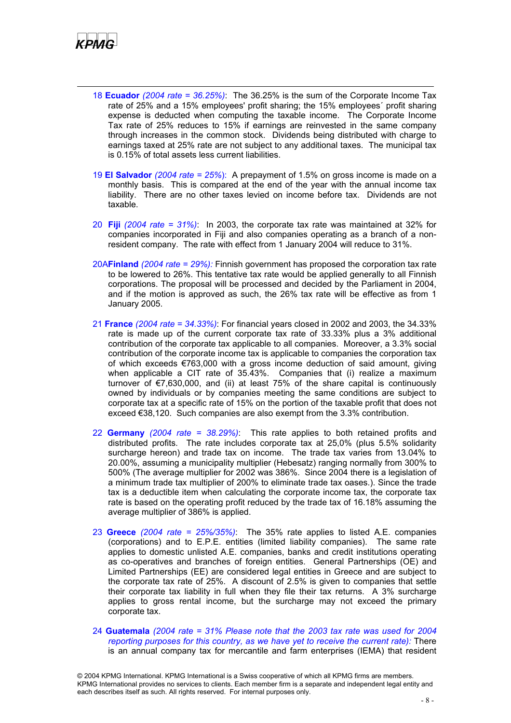

- 18 **Ecuador** *(2004 rate = 36.25%)*: The 36.25% is the sum of the Corporate Income Tax rate of 25% and a 15% employees' profit sharing; the 15% employees´ profit sharing expense is deducted when computing the taxable income. The Corporate Income Tax rate of 25% reduces to 15% if earnings are reinvested in the same company through increases in the common stock. Dividends being distributed with charge to earnings taxed at 25% rate are not subject to any additional taxes. The municipal tax is 0.15% of total assets less current liabilities.
- 19 **El Salvador** *(2004 rate = 25%*): A prepayment of 1.5% on gross income is made on a monthly basis. This is compared at the end of the year with the annual income tax liability. There are no other taxes levied on income before tax. Dividends are not taxable.
- 20 **Fiji** *(2004 rate = 31%)*: In 2003, the corporate tax rate was maintained at 32% for companies incorporated in Fiji and also companies operating as a branch of a nonresident company. The rate with effect from 1 January 2004 will reduce to 31%.
- 20A**Finland** *(2004 rate = 29%):* Finnish government has proposed the corporation tax rate to be lowered to 26%. This tentative tax rate would be applied generally to all Finnish corporations. The proposal will be processed and decided by the Parliament in 2004, and if the motion is approved as such, the 26% tax rate will be effective as from 1 January 2005.
- 21 **France** *(2004 rate = 34.33%)*: For financial years closed in 2002 and 2003, the 34.33% rate is made up of the current corporate tax rate of 33.33% plus a 3% additional contribution of the corporate tax applicable to all companies. Moreover, a 3.3% social contribution of the corporate income tax is applicable to companies the corporation tax of which exceeds €763,000 with a gross income deduction of said amount, giving when applicable a CIT rate of 35.43%. Companies that (i) realize a maximum turnover of €7,630,000, and (ii) at least 75% of the share capital is continuously owned by individuals or by companies meeting the same conditions are subject to corporate tax at a specific rate of 15% on the portion of the taxable profit that does not exceed €38,120. Such companies are also exempt from the 3.3% contribution.
- 22 **Germany** *(2004 rate = 38.29%)*: This rate applies to both retained profits and distributed profits. The rate includes corporate tax at 25,0% (plus 5.5% solidarity surcharge hereon) and trade tax on income. The trade tax varies from 13.04% to 20.00%, assuming a municipality multiplier (Hebesatz) ranging normally from 300% to 500% (The average multiplier for 2002 was 386%. Since 2004 there is a legislation of a minimum trade tax multiplier of 200% to eliminate trade tax oases.). Since the trade tax is a deductible item when calculating the corporate income tax, the corporate tax rate is based on the operating profit reduced by the trade tax of 16.18% assuming the average multiplier of 386% is applied.
- 23 **Greece** *(2004 rate = 25%/35%)*: The 35% rate applies to listed A.E. companies (corporations) and to E.P.E. entities (limited liability companies). The same rate applies to domestic unlisted A.E. companies, banks and credit institutions operating as co-operatives and branches of foreign entities. General Partnerships (OE) and Limited Partnerships (EE) are considered legal entities in Greece and are subject to the corporate tax rate of 25%. A discount of 2.5% is given to companies that settle their corporate tax liability in full when they file their tax returns. A 3% surcharge applies to gross rental income, but the surcharge may not exceed the primary corporate tax.
- 24 **Guatemala** *(2004 rate = 31% Please note that the 2003 tax rate was used for 2004 reporting purposes for this country, as we have yet to receive the current rate):* There is an annual company tax for mercantile and farm enterprises (IEMA) that resident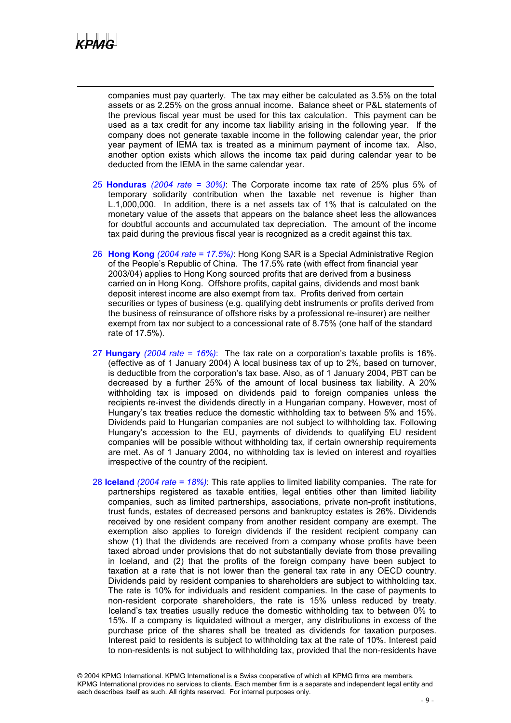

companies must pay quarterly. The tax may either be calculated as 3.5% on the total assets or as 2.25% on the gross annual income. Balance sheet or P&L statements of the previous fiscal year must be used for this tax calculation. This payment can be used as a tax credit for any income tax liability arising in the following year. If the company does not generate taxable income in the following calendar year, the prior year payment of IEMA tax is treated as a minimum payment of income tax. Also, another option exists which allows the income tax paid during calendar year to be deducted from the IEMA in the same calendar year.

- 25 **Honduras** *(2004 rate = 30%)*: The Corporate income tax rate of 25% plus 5% of temporary solidarity contribution when the taxable net revenue is higher than L.1,000,000. In addition, there is a net assets tax of 1% that is calculated on the monetary value of the assets that appears on the balance sheet less the allowances for doubtful accounts and accumulated tax depreciation. The amount of the income tax paid during the previous fiscal year is recognized as a credit against this tax.
- 26 **Hong Kong** *(2004 rate = 17.5%)*: Hong Kong SAR is a Special Administrative Region of the People's Republic of China. The 17.5% rate (with effect from financial year 2003/04) applies to Hong Kong sourced profits that are derived from a business carried on in Hong Kong. Offshore profits, capital gains, dividends and most bank deposit interest income are also exempt from tax. Profits derived from certain securities or types of business (e.g. qualifying debt instruments or profits derived from the business of reinsurance of offshore risks by a professional re-insurer) are neither exempt from tax nor subject to a concessional rate of 8.75% (one half of the standard rate of 17.5%).
- 27 **Hungary** *(2004 rate = 16%)*:The tax rate on a corporation's taxable profits is 16%. (effective as of 1 January 2004) A local business tax of up to 2%, based on turnover, is deductible from the corporation's tax base. Also, as of 1 January 2004, PBT can be decreased by a further 25% of the amount of local business tax liability. A 20% withholding tax is imposed on dividends paid to foreign companies unless the recipients re-invest the dividends directly in a Hungarian company. However, most of Hungary's tax treaties reduce the domestic withholding tax to between 5% and 15%. Dividends paid to Hungarian companies are not subject to withholding tax. Following Hungary's accession to the EU, payments of dividends to qualifying EU resident companies will be possible without withholding tax, if certain ownership requirements are met. As of 1 January 2004, no withholding tax is levied on interest and royalties irrespective of the country of the recipient.
- 28 **Iceland** *(2004 rate = 18%)*: This rate applies to limited liability companies. The rate for partnerships registered as taxable entities, legal entities other than limited liability companies, such as limited partnerships, associations, private non-profit institutions, trust funds, estates of decreased persons and bankruptcy estates is 26%. Dividends received by one resident company from another resident company are exempt. The exemption also applies to foreign dividends if the resident recipient company can show (1) that the dividends are received from a company whose profits have been taxed abroad under provisions that do not substantially deviate from those prevailing in Iceland, and (2) that the profits of the foreign company have been subject to taxation at a rate that is not lower than the general tax rate in any OECD country. Dividends paid by resident companies to shareholders are subject to withholding tax. The rate is 10% for individuals and resident companies. In the case of payments to non-resident corporate shareholders, the rate is 15% unless reduced by treaty. Iceland's tax treaties usually reduce the domestic withholding tax to between 0% to 15%. If a company is liquidated without a merger, any distributions in excess of the purchase price of the shares shall be treated as dividends for taxation purposes. Interest paid to residents is subject to withholding tax at the rate of 10%. Interest paid to non-residents is not subject to withholding tax, provided that the non-residents have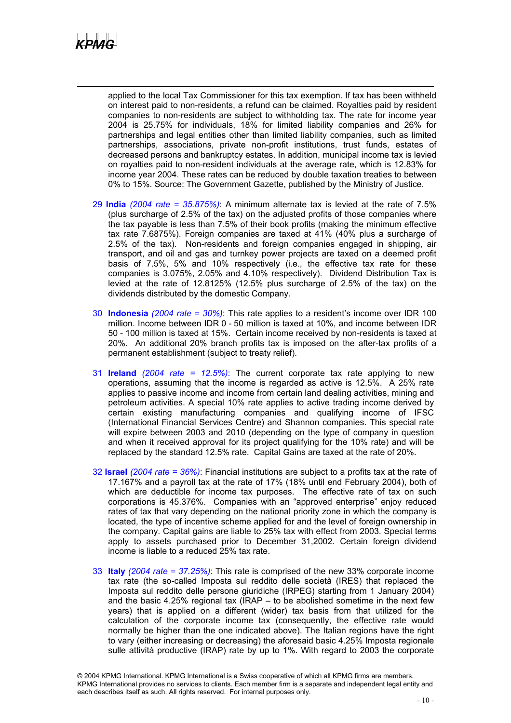

applied to the local Tax Commissioner for this tax exemption. If tax has been withheld on interest paid to non-residents, a refund can be claimed. Royalties paid by resident companies to non-residents are subject to withholding tax. The rate for income year 2004 is 25.75% for individuals, 18% for limited liability companies and 26% for partnerships and legal entities other than limited liability companies, such as limited partnerships, associations, private non-profit institutions, trust funds, estates of decreased persons and bankruptcy estates. In addition, municipal income tax is levied on royalties paid to non-resident individuals at the average rate, which is 12.83% for income year 2004. These rates can be reduced by double taxation treaties to between 0% to 15%. Source: The Government Gazette, published by the Ministry of Justice.

- 29 **India** *(2004 rate = 35.875%)*: A minimum alternate tax is levied at the rate of 7.5% (plus surcharge of 2.5% of the tax) on the adjusted profits of those companies where the tax payable is less than 7.5% of their book profits (making the minimum effective tax rate 7.6875%). Foreign companies are taxed at 41% (40% plus a surcharge of 2.5% of the tax). Non-residents and foreign companies engaged in shipping, air transport, and oil and gas and turnkey power projects are taxed on a deemed profit basis of 7.5%, 5% and 10% respectively (i.e., the effective tax rate for these companies is 3.075%, 2.05% and 4.10% respectively). Dividend Distribution Tax is levied at the rate of 12.8125% (12.5% plus surcharge of 2.5% of the tax) on the dividends distributed by the domestic Company.
- 30 **Indonesia** *(2004 rate = 30%)*: This rate applies to a resident's income over IDR 100 million. Income between IDR 0 - 50 million is taxed at 10%, and income between IDR 50 - 100 million is taxed at 15%. Certain income received by non-residents is taxed at 20%. An additional 20% branch profits tax is imposed on the after-tax profits of a permanent establishment (subject to treaty relief).
- 31 **Ireland** *(2004 rate = 12.5%)*: The current corporate tax rate applying to new operations, assuming that the income is regarded as active is 12.5%. A 25% rate applies to passive income and income from certain land dealing activities, mining and petroleum activities. A special 10% rate applies to active trading income derived by certain existing manufacturing companies and qualifying income of IFSC (International Financial Services Centre) and Shannon companies. This special rate will expire between 2003 and 2010 (depending on the type of company in question and when it received approval for its project qualifying for the 10% rate) and will be replaced by the standard 12.5% rate. Capital Gains are taxed at the rate of 20%.
- 32 **Israel** *(2004 rate = 36%)*: Financial institutions are subject to a profits tax at the rate of 17.167% and a payroll tax at the rate of 17% (18% until end February 2004), both of which are deductible for income tax purposes. The effective rate of tax on such corporations is 45.376%. Companies with an "approved enterprise" enjoy reduced rates of tax that vary depending on the national priority zone in which the company is located, the type of incentive scheme applied for and the level of foreign ownership in the company. Capital gains are liable to 25% tax with effect from 2003. Special terms apply to assets purchased prior to December 31,2002. Certain foreign dividend income is liable to a reduced 25% tax rate.
- 33 **Italy** *(2004 rate = 37.25%)*: This rate is comprised of the new 33% corporate income tax rate (the so-called Imposta sul reddito delle società (IRES) that replaced the Imposta sul reddito delle persone giuridiche (IRPEG) starting from 1 January 2004) and the basic 4.25% regional tax (IRAP – to be abolished sometime in the next few years) that is applied on a different (wider) tax basis from that utilized for the calculation of the corporate income tax (consequently, the effective rate would normally be higher than the one indicated above). The Italian regions have the right to vary (either increasing or decreasing) the aforesaid basic 4.25% Imposta regionale sulle attività productive (IRAP) rate by up to 1%. With regard to 2003 the corporate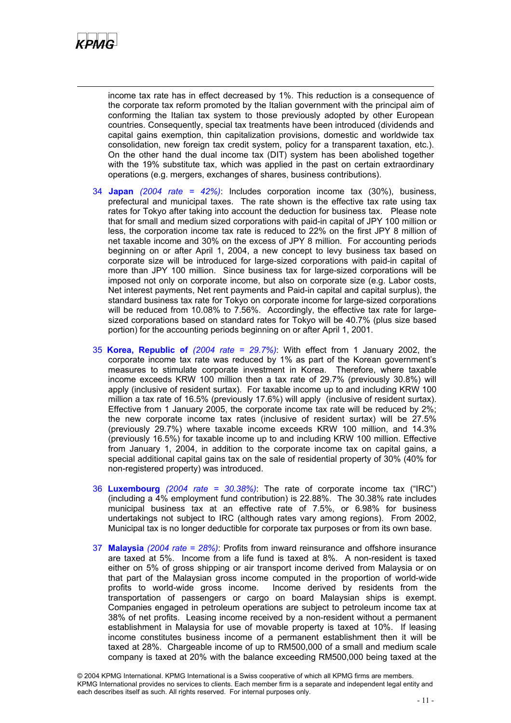

income tax rate has in effect decreased by 1%. This reduction is a consequence of the corporate tax reform promoted by the Italian government with the principal aim of conforming the Italian tax system to those previously adopted by other European countries. Consequently, special tax treatments have been introduced (dividends and capital gains exemption, thin capitalization provisions, domestic and worldwide tax consolidation, new foreign tax credit system, policy for a transparent taxation, etc.). On the other hand the dual income tax (DIT) system has been abolished together with the 19% substitute tax, which was applied in the past on certain extraordinary operations (e.g. mergers, exchanges of shares, business contributions).

- 34 **Japan** *(2004 rate = 42%)*: Includes corporation income tax (30%), business, prefectural and municipal taxes. The rate shown is the effective tax rate using tax rates for Tokyo after taking into account the deduction for business tax. Please note that for small and medium sized corporations with paid-in capital of JPY 100 million or less, the corporation income tax rate is reduced to 22% on the first JPY 8 million of net taxable income and 30% on the excess of JPY 8 million. For accounting periods beginning on or after April 1, 2004, a new concept to levy business tax based on corporate size will be introduced for large-sized corporations with paid-in capital of more than JPY 100 million. Since business tax for large-sized corporations will be imposed not only on corporate income, but also on corporate size (e.g. Labor costs, Net interest payments, Net rent payments and Paid-in capital and capital surplus), the standard business tax rate for Tokyo on corporate income for large-sized corporations will be reduced from 10.08% to 7.56%. Accordingly, the effective tax rate for largesized corporations based on standard rates for Tokyo will be 40.7% (plus size based portion) for the accounting periods beginning on or after April 1, 2001.
- 35 **Korea, Republic of** *(2004 rate = 29.7%)*: With effect from 1 January 2002, the corporate income tax rate was reduced by 1% as part of the Korean government's measures to stimulate corporate investment in Korea. Therefore, where taxable income exceeds KRW 100 million then a tax rate of 29.7% (previously 30.8%) will apply (inclusive of resident surtax). For taxable income up to and including KRW 100 million a tax rate of 16.5% (previously 17.6%) will apply (inclusive of resident surtax). Effective from 1 January 2005, the corporate income tax rate will be reduced by 2%; the new corporate income tax rates (inclusive of resident surtax) will be 27.5% (previously 29.7%) where taxable income exceeds KRW 100 million, and 14.3% (previously 16.5%) for taxable income up to and including KRW 100 million. Effective from January 1, 2004, in addition to the corporate income tax on capital gains, a special additional capital gains tax on the sale of residential property of 30% (40% for non-registered property) was introduced.
- 36 **Luxembourg** *(2004 rate = 30.38%)*: The rate of corporate income tax ("IRC") (including a 4% employment fund contribution) is 22.88%. The 30.38% rate includes municipal business tax at an effective rate of 7.5%, or 6.98% for business undertakings not subject to IRC (although rates vary among regions). From 2002, Municipal tax is no longer deductible for corporate tax purposes or from its own base.
- 37 **Malaysia** *(2004 rate = 28%)*: Profits from inward reinsurance and offshore insurance are taxed at 5%. Income from a life fund is taxed at 8%. A non-resident is taxed either on 5% of gross shipping or air transport income derived from Malaysia or on that part of the Malaysian gross income computed in the proportion of world-wide profits to world-wide gross income. Income derived by residents from the transportation of passengers or cargo on board Malaysian ships is exempt. Companies engaged in petroleum operations are subject to petroleum income tax at 38% of net profits. Leasing income received by a non-resident without a permanent establishment in Malaysia for use of movable property is taxed at 10%. If leasing income constitutes business income of a permanent establishment then it will be taxed at 28%. Chargeable income of up to RM500,000 of a small and medium scale company is taxed at 20% with the balance exceeding RM500,000 being taxed at the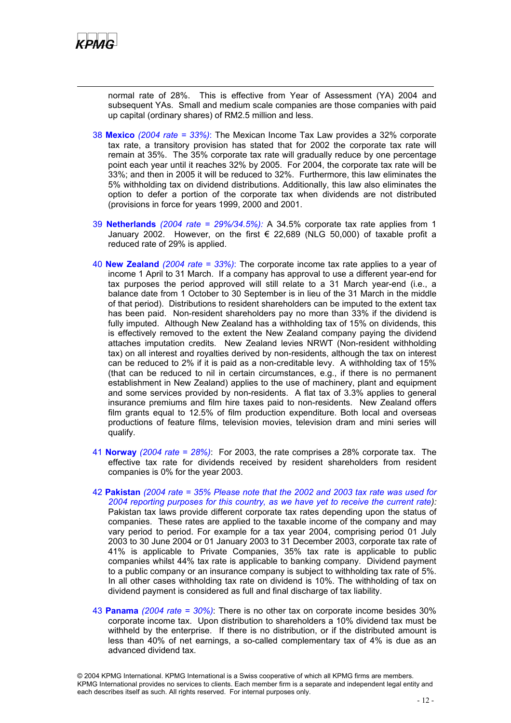

normal rate of 28%. This is effective from Year of Assessment (YA) 2004 and subsequent YAs. Small and medium scale companies are those companies with paid up capital (ordinary shares) of RM2.5 million and less.

- 38 **Mexico** *(2004 rate = 33%)*: The Mexican Income Tax Law provides a 32% corporate tax rate, a transitory provision has stated that for 2002 the corporate tax rate will remain at 35%. The 35% corporate tax rate will gradually reduce by one percentage point each year until it reaches 32% by 2005. For 2004, the corporate tax rate will be 33%; and then in 2005 it will be reduced to 32%. Furthermore, this law eliminates the 5% withholding tax on dividend distributions. Additionally, this law also eliminates the option to defer a portion of the corporate tax when dividends are not distributed (provisions in force for years 1999, 2000 and 2001.
- 39 **Netherlands** *(2004 rate = 29%/34.5%):* A 34.5% corporate tax rate applies from 1 January 2002. However, on the first  $\epsilon$  22,689 (NLG 50,000) of taxable profit a reduced rate of 29% is applied.
- 40 **New Zealand** *(2004 rate = 33%)*: The corporate income tax rate applies to a year of income 1 April to 31 March. If a company has approval to use a different year-end for tax purposes the period approved will still relate to a 31 March year-end (i.e., a balance date from 1 October to 30 September is in lieu of the 31 March in the middle of that period). Distributions to resident shareholders can be imputed to the extent tax has been paid. Non-resident shareholders pay no more than 33% if the dividend is fully imputed. Although New Zealand has a withholding tax of 15% on dividends, this is effectively removed to the extent the New Zealand company paying the dividend attaches imputation credits. New Zealand levies NRWT (Non-resident withholding tax) on all interest and royalties derived by non-residents, although the tax on interest can be reduced to 2% if it is paid as a non-creditable levy. A withholding tax of 15% (that can be reduced to nil in certain circumstances, e.g., if there is no permanent establishment in New Zealand) applies to the use of machinery, plant and equipment and some services provided by non-residents. A flat tax of 3.3% applies to general insurance premiums and film hire taxes paid to non-residents. New Zealand offers film grants equal to 12.5% of film production expenditure. Both local and overseas productions of feature films, television movies, television dram and mini series will qualify.
- 41 **Norway** *(2004 rate = 28%)*: For 2003, the rate comprises a 28% corporate tax. The effective tax rate for dividends received by resident shareholders from resident companies is 0% for the year 2003.
- 42 **Pakistan** *(2004 rate = 35% Please note that the 2002 and 2003 tax rate was used for 2004 reporting purposes for this country, as we have yet to receive the current rate):* Pakistan tax laws provide different corporate tax rates depending upon the status of companies. These rates are applied to the taxable income of the company and may vary period to period. For example for a tax year 2004, comprising period 01 July 2003 to 30 June 2004 or 01 January 2003 to 31 December 2003, corporate tax rate of 41% is applicable to Private Companies, 35% tax rate is applicable to public companies whilst 44% tax rate is applicable to banking company. Dividend payment to a public company or an insurance company is subject to withholding tax rate of 5%. In all other cases withholding tax rate on dividend is 10%. The withholding of tax on dividend payment is considered as full and final discharge of tax liability.
- 43 **Panama** *(2004 rate = 30%)*: There is no other tax on corporate income besides 30% corporate income tax. Upon distribution to shareholders a 10% dividend tax must be withheld by the enterprise. If there is no distribution, or if the distributed amount is less than 40% of net earnings, a so-called complementary tax of 4% is due as an advanced dividend tax.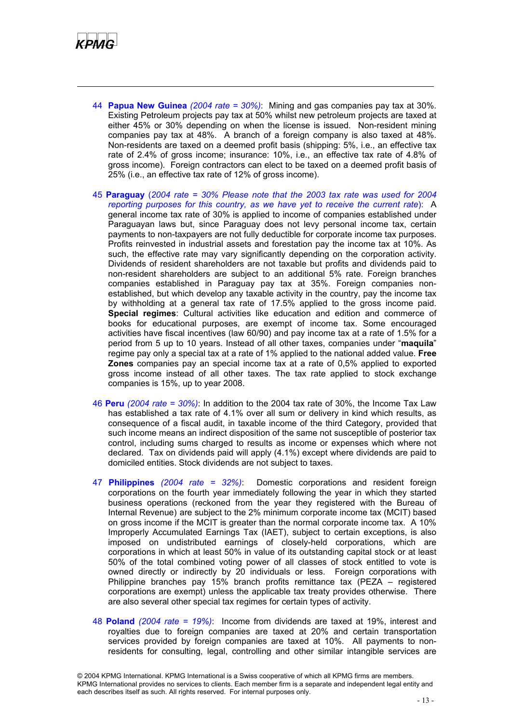

- 44 **Papua New Guinea** *(2004 rate = 30%)*: Mining and gas companies pay tax at 30%. Existing Petroleum projects pay tax at 50% whilst new petroleum projects are taxed at either 45% or 30% depending on when the license is issued. Non-resident mining companies pay tax at 48%. A branch of a foreign company is also taxed at 48%. Non-residents are taxed on a deemed profit basis (shipping: 5%, i.e., an effective tax rate of 2.4% of gross income; insurance: 10%, i.e., an effective tax rate of 4.8% of gross income). Foreign contractors can elect to be taxed on a deemed profit basis of 25% (i.e., an effective tax rate of 12% of gross income).
- 45 **Paraguay** (*2004 rate = 30% Please note that the 2003 tax rate was used for 2004 reporting purposes for this country, as we have yet to receive the current rate*): A general income tax rate of 30% is applied to income of companies established under Paraguayan laws but, since Paraguay does not levy personal income tax, certain payments to non-taxpayers are not fully deductible for corporate income tax purposes. Profits reinvested in industrial assets and forestation pay the income tax at 10%. As such, the effective rate may vary significantly depending on the corporation activity. Dividends of resident shareholders are not taxable but profits and dividends paid to non-resident shareholders are subject to an additional 5% rate. Foreign branches companies established in Paraguay pay tax at 35%. Foreign companies nonestablished, but which develop any taxable activity in the country, pay the income tax by withholding at a general tax rate of 17.5% applied to the gross income paid. **Special regimes**: Cultural activities like education and edition and commerce of books for educational purposes, are exempt of income tax. Some encouraged activities have fiscal incentives (law 60/90) and pay income tax at a rate of 1.5% for a period from 5 up to 10 years. Instead of all other taxes, companies under "**maquila**" regime pay only a special tax at a rate of 1% applied to the national added value. **Free Zones** companies pay an special income tax at a rate of 0,5% applied to exported gross income instead of all other taxes. The tax rate applied to stock exchange companies is 15%, up to year 2008.
- 46 **Peru** *(2004 rate = 30%)*: In addition to the 2004 tax rate of 30%, the Income Tax Law has established a tax rate of 4.1% over all sum or delivery in kind which results, as consequence of a fiscal audit, in taxable income of the third Category, provided that such income means an indirect disposition of the same not susceptible of posterior tax control, including sums charged to results as income or expenses which where not declared. Tax on dividends paid will apply (4.1%) except where dividends are paid to domiciled entities. Stock dividends are not subject to taxes.
- 47 **Philippines** *(2004 rate = 32%)*: Domestic corporations and resident foreign corporations on the fourth year immediately following the year in which they started business operations (reckoned from the year they registered with the Bureau of Internal Revenue) are subject to the 2% minimum corporate income tax (MCIT) based on gross income if the MCIT is greater than the normal corporate income tax. A 10% Improperly Accumulated Earnings Tax (IAET), subject to certain exceptions, is also imposed on undistributed earnings of closely-held corporations, which are corporations in which at least 50% in value of its outstanding capital stock or at least 50% of the total combined voting power of all classes of stock entitled to vote is owned directly or indirectly by 20 individuals or less. Foreign corporations with Philippine branches pay 15% branch profits remittance tax (PEZA – registered corporations are exempt) unless the applicable tax treaty provides otherwise. There are also several other special tax regimes for certain types of activity.
- 48 **Poland** *(2004 rate = 19%)*: Income from dividends are taxed at 19%, interest and royalties due to foreign companies are taxed at 20% and certain transportation services provided by foreign companies are taxed at 10%. All payments to nonresidents for consulting, legal, controlling and other similar intangible services are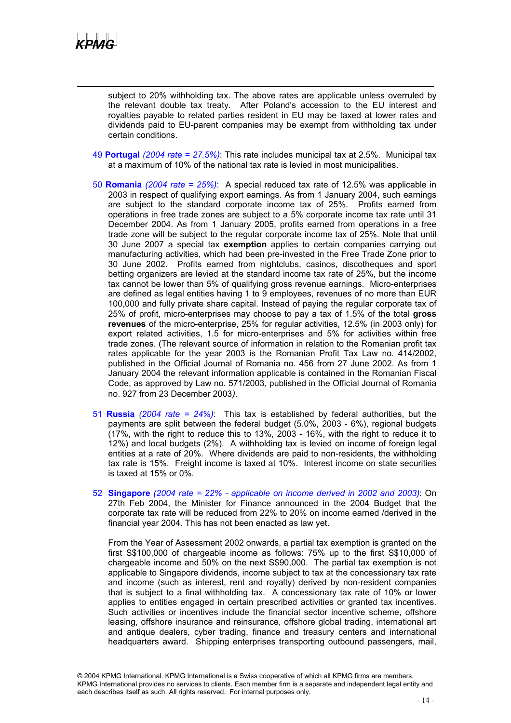

subject to 20% withholding tax. The above rates are applicable unless overruled by the relevant double tax treaty. After Poland's accession to the EU interest and royalties payable to related parties resident in EU may be taxed at lower rates and dividends paid to EU-parent companies may be exempt from withholding tax under certain conditions.

- 49 **Portugal** *(2004 rate = 27.5%)*: This rate includes municipal tax at 2.5%. Municipal tax at a maximum of 10% of the national tax rate is levied in most municipalities.
- 50 **Romania** *(2004 rate = 25%)*: A special reduced tax rate of 12.5% was applicable in 2003 in respect of qualifying export earnings. As from 1 January 2004, such earnings are subject to the standard corporate income tax of 25%. Profits earned from operations in free trade zones are subject to a 5% corporate income tax rate until 31 December 2004. As from 1 January 2005, profits earned from operations in a free trade zone will be subject to the regular corporate income tax of 25%. Note that until 30 June 2007 a special tax **exemption** applies to certain companies carrying out manufacturing activities, which had been pre-invested in the Free Trade Zone prior to 30 June 2002. Profits earned from nightclubs, casinos, discotheques and sport betting organizers are levied at the standard income tax rate of 25%, but the income tax cannot be lower than 5% of qualifying gross revenue earnings. Micro-enterprises are defined as legal entities having 1 to 9 employees, revenues of no more than EUR 100,000 and fully private share capital. Instead of paying the regular corporate tax of 25% of profit, micro-enterprises may choose to pay a tax of 1.5% of the total **gross revenues** of the micro-enterprise, 25% for regular activities, 12.5% (in 2003 only) for export related activities, 1.5 for micro-enterprises and 5% for activities within free trade zones. (The relevant source of information in relation to the Romanian profit tax rates applicable for the year 2003 is the Romanian Profit Tax Law no. 414/2002, published in the Official Journal of Romania no. 456 from 27 June 2002. As from 1 January 2004 the relevant information applicable is contained in the Romanian Fiscal Code, as approved by Law no. 571/2003, published in the Official Journal of Romania no. 927 from 23 December 2003*).*
- 51 **Russia** *(2004 rate = 24%)*: This tax is established by federal authorities, but the payments are split between the federal budget (5.0%, 2003 - 6%), regional budgets (17%, with the right to reduce this to 13%, 2003 - 16%, with the right to reduce it to 12%) and local budgets (2%). A withholding tax is levied on income of foreign legal entities at a rate of 20%. Where dividends are paid to non-residents, the withholding tax rate is 15%. Freight income is taxed at 10%. Interest income on state securities is taxed at 15% or 0%.
- 52 **Singapore** *(2004 rate = 22% applicable on income derived in 2002 and 2003)*: On 27th Feb 2004, the Minister for Finance announced in the 2004 Budget that the corporate tax rate will be reduced from 22% to 20% on income earned /derived in the financial year 2004. This has not been enacted as law yet.

From the Year of Assessment 2002 onwards, a partial tax exemption is granted on the first S\$100,000 of chargeable income as follows: 75% up to the first S\$10,000 of chargeable income and 50% on the next S\$90,000. The partial tax exemption is not applicable to Singapore dividends, income subject to tax at the concessionary tax rate and income (such as interest, rent and royalty) derived by non-resident companies that is subject to a final withholding tax. A concessionary tax rate of 10% or lower applies to entities engaged in certain prescribed activities or granted tax incentives. Such activities or incentives include the financial sector incentive scheme, offshore leasing, offshore insurance and reinsurance, offshore global trading, international art and antique dealers, cyber trading, finance and treasury centers and international headquarters award. Shipping enterprises transporting outbound passengers, mail,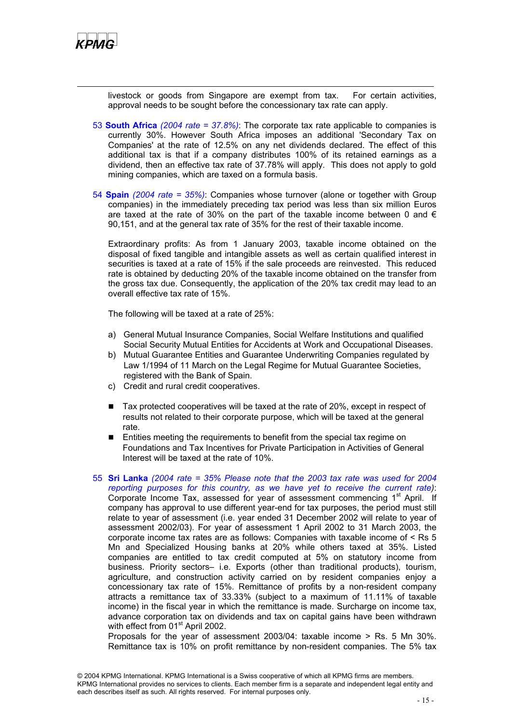

livestock or goods from Singapore are exempt from tax. For certain activities, approval needs to be sought before the concessionary tax rate can apply.

- 53 **South Africa** *(2004 rate = 37.8%)*: The corporate tax rate applicable to companies is currently 30%. However South Africa imposes an additional 'Secondary Tax on Companies' at the rate of 12.5% on any net dividends declared. The effect of this additional tax is that if a company distributes 100% of its retained earnings as a dividend, then an effective tax rate of 37.78% will apply. This does not apply to gold mining companies, which are taxed on a formula basis.
- 54 **Spain** *(2004 rate = 35%)*: Companies whose turnover (alone or together with Group companies) in the immediately preceding tax period was less than six million Euros are taxed at the rate of 30% on the part of the taxable income between 0 and  $\epsilon$ 90,151, and at the general tax rate of 35% for the rest of their taxable income.

Extraordinary profits: As from 1 January 2003, taxable income obtained on the disposal of fixed tangible and intangible assets as well as certain qualified interest in securities is taxed at a rate of 15% if the sale proceeds are reinvested. This reduced rate is obtained by deducting 20% of the taxable income obtained on the transfer from the gross tax due. Consequently, the application of the 20% tax credit may lead to an overall effective tax rate of 15%.

The following will be taxed at a rate of 25%:

- a) General Mutual Insurance Companies, Social Welfare Institutions and qualified Social Security Mutual Entities for Accidents at Work and Occupational Diseases.
- b) Mutual Guarantee Entities and Guarantee Underwriting Companies regulated by Law 1/1994 of 11 March on the Legal Regime for Mutual Guarantee Societies, registered with the Bank of Spain.
- c) Credit and rural credit cooperatives.
- Tax protected cooperatives will be taxed at the rate of 20%, except in respect of results not related to their corporate purpose, which will be taxed at the general rate.
- **Entities meeting the requirements to benefit from the special tax regime on** Foundations and Tax Incentives for Private Participation in Activities of General Interest will be taxed at the rate of 10%.
- 55 **Sri Lanka** *(2004 rate = 35% Please note that the 2003 tax rate was used for 2004 reporting purposes for this country, as we have yet to receive the current rate)*: Corporate Income Tax, assessed for year of assessment commencing 1<sup>st</sup> April. If company has approval to use different year-end for tax purposes, the period must still relate to year of assessment (i.e. year ended 31 December 2002 will relate to year of assessment 2002/03). For year of assessment 1 April 2002 to 31 March 2003, the corporate income tax rates are as follows: Companies with taxable income of < Rs 5 Mn and Specialized Housing banks at 20% while others taxed at 35%. Listed companies are entitled to tax credit computed at 5% on statutory income from business. Priority sectors– i.e. Exports (other than traditional products), tourism, agriculture, and construction activity carried on by resident companies enjoy a concessionary tax rate of 15%. Remittance of profits by a non-resident company attracts a remittance tax of 33.33% (subject to a maximum of 11.11% of taxable income) in the fiscal year in which the remittance is made. Surcharge on income tax, advance corporation tax on dividends and tax on capital gains have been withdrawn with effect from 01<sup>st</sup> April 2002.

 Proposals for the year of assessment 2003/04: taxable income > Rs. 5 Mn 30%. Remittance tax is 10% on profit remittance by non-resident companies. The 5% tax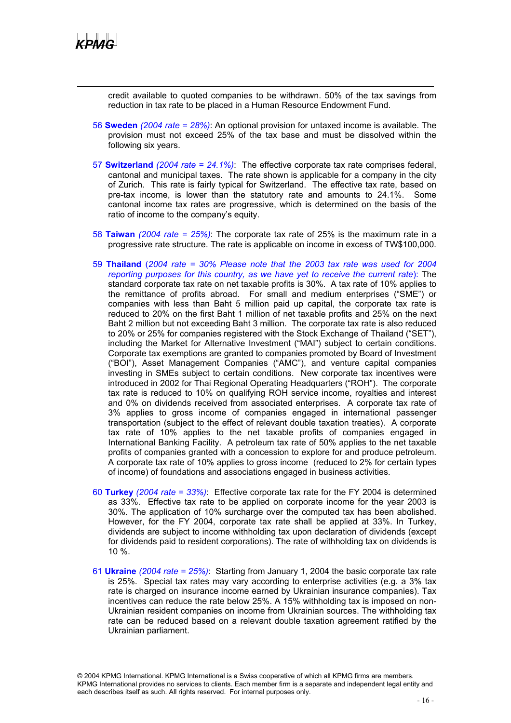

credit available to quoted companies to be withdrawn. 50% of the tax savings from reduction in tax rate to be placed in a Human Resource Endowment Fund.

- 56 **Sweden** *(2004 rate = 28%)*: An optional provision for untaxed income is available. The provision must not exceed 25% of the tax base and must be dissolved within the following six years.
- 57 **Switzerland** *(2004 rate = 24.1%)*: The effective corporate tax rate comprises federal, cantonal and municipal taxes. The rate shown is applicable for a company in the city of Zurich. This rate is fairly typical for Switzerland. The effective tax rate, based on pre-tax income, is lower than the statutory rate and amounts to 24.1%. Some cantonal income tax rates are progressive, which is determined on the basis of the ratio of income to the company's equity.
- 58 **Taiwan** *(2004 rate = 25%)*: The corporate tax rate of 25% is the maximum rate in a progressive rate structure. The rate is applicable on income in excess of TW\$100,000.
- 59 **Thailand** (*2004 rate = 30% Please note that the 2003 tax rate was used for 2004 reporting purposes for this country, as we have yet to receive the current rate*): The standard corporate tax rate on net taxable profits is 30%. A tax rate of 10% applies to the remittance of profits abroad. For small and medium enterprises ("SME") or companies with less than Baht 5 million paid up capital, the corporate tax rate is reduced to 20% on the first Baht 1 million of net taxable profits and 25% on the next Baht 2 million but not exceeding Baht 3 million. The corporate tax rate is also reduced to 20% or 25% for companies registered with the Stock Exchange of Thailand ("SET"), including the Market for Alternative Investment ("MAI") subject to certain conditions. Corporate tax exemptions are granted to companies promoted by Board of Investment ("BOI"), Asset Management Companies ("AMC"), and venture capital companies investing in SMEs subject to certain conditions. New corporate tax incentives were introduced in 2002 for Thai Regional Operating Headquarters ("ROH"). The corporate tax rate is reduced to 10% on qualifying ROH service income, royalties and interest and 0% on dividends received from associated enterprises. A corporate tax rate of 3% applies to gross income of companies engaged in international passenger transportation (subject to the effect of relevant double taxation treaties). A corporate tax rate of 10% applies to the net taxable profits of companies engaged in International Banking Facility. A petroleum tax rate of 50% applies to the net taxable profits of companies granted with a concession to explore for and produce petroleum. A corporate tax rate of 10% applies to gross income (reduced to 2% for certain types of income) of foundations and associations engaged in business activities.
- 60 **Turkey** *(2004 rate = 33%)*: Effective corporate tax rate for the FY 2004 is determined as 33%. Effective tax rate to be applied on corporate income for the year 2003 is 30%. The application of 10% surcharge over the computed tax has been abolished. However, for the FY 2004, corporate tax rate shall be applied at 33%. In Turkey, dividends are subject to income withholding tax upon declaration of dividends (except for dividends paid to resident corporations). The rate of withholding tax on dividends is 10 %.
- 61 **Ukraine** *(2004 rate = 25%)*: Starting from January 1, 2004 the basic corporate tax rate is 25%. Special tax rates may vary according to enterprise activities (e.g. a 3% tax rate is charged on insurance income earned by Ukrainian insurance companies). Tax incentives can reduce the rate below 25%. A 15% withholding tax is imposed on non-Ukrainian resident companies on income from Ukrainian sources. The withholding tax rate can be reduced based on a relevant double taxation agreement ratified by the Ukrainian parliament.